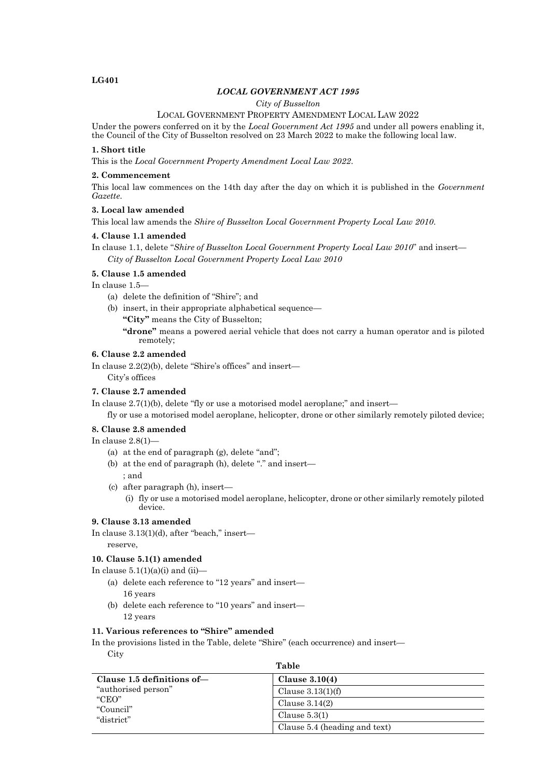# **LG401**

# *LOCAL GOVERNMENT ACT 1995*

#### *City of Busselton*

#### LOCAL GOVERNMENT PROPERTY AMENDMENT LOCAL LAW 2022

Under the powers conferred on it by the *Local Government Act 1995* and under all powers enabling it, the Council of the City of Busselton resolved on 23 March 2022 to make the following local law.

# **1. Short title**

This is the *Local Government Property Amendment Local Law 2022*.

# **2. Commencement**

This local law commences on the 14th day after the day on which it is published in the *Government Gazette*.

# **3. Local law amended**

This local law amends the *Shire of Busselton Local Government Property Local Law 2010*.

## **4. Clause 1.1 amended**

In clause 1.1, delete "*Shire of Busselton Local Government Property Local Law 2010*" and insert— *City of Busselton Local Government Property Local Law 2010*

## **5. Clause 1.5 amended**

In clause 1.5—

- (a) delete the definition of "Shire"; and
- (b) insert, in their appropriate alphabetical sequence—

**"City"** means the City of Busselton;

**"drone"** means a powered aerial vehicle that does not carry a human operator and is piloted remotely;

#### **6. Clause 2.2 amended**

In clause 2.2(2)(b), delete "Shire's offices" and insert— City's offices

#### **7. Clause 2.7 amended**

In clause 2.7(1)(b), delete "fly or use a motorised model aeroplane;" and insert—

fly or use a motorised model aeroplane, helicopter, drone or other similarly remotely piloted device;

# **8. Clause 2.8 amended**

In clause  $2.8(1)$ —

- (a) at the end of paragraph (g), delete "and";
- (b) at the end of paragraph (h), delete "." and insert— ; and
- (c) after paragraph (h), insert—
	- (i) fly or use a motorised model aeroplane, helicopter, drone or other similarly remotely piloted dovice

# **9. Clause 3.13 amended**

In clause 3.13(1)(d), after "beach," insert reserve,

# **10. Clause 5.1(1) amended**

In clause  $5.1(1)(a)(i)$  and  $(ii)$ —

- (a) delete each reference to "12 years" and insert— 16 years
- (b) delete each reference to "10 years" and insert— 12 years

# **11. Various references to "Shire" amended**

In the provisions listed in the Table, delete "Shire" (each occurrence) and insert—

City

|--|--|

| Clause 1.5 definitions of-<br>"authorised person"<br>"CEO"<br>"Council"<br>"district" | Clause $3.10(4)$              |
|---------------------------------------------------------------------------------------|-------------------------------|
|                                                                                       | Clause $3.13(1)(f)$           |
|                                                                                       | Clause $3.14(2)$              |
|                                                                                       | Clause $5.3(1)$               |
|                                                                                       | Clause 5.4 (heading and text) |